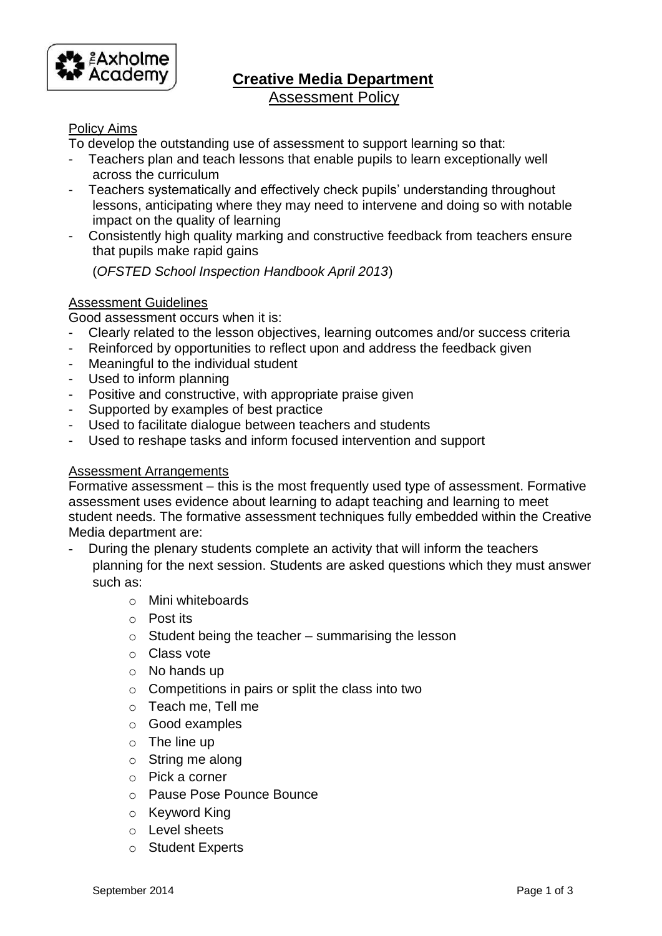

# **Creative Media Department**  Assessment Policy

# Policy Aims

To develop the outstanding use of assessment to support learning so that:

- Teachers plan and teach lessons that enable pupils to learn exceptionally well across the curriculum
- Teachers systematically and effectively check pupils' understanding throughout lessons, anticipating where they may need to intervene and doing so with notable impact on the quality of learning
- Consistently high quality marking and constructive feedback from teachers ensure that pupils make rapid gains

(*OFSTED School Inspection Handbook April 2013*)

## Assessment Guidelines

Good assessment occurs when it is:

- Clearly related to the lesson objectives, learning outcomes and/or success criteria
- Reinforced by opportunities to reflect upon and address the feedback given
- Meaningful to the individual student
- Used to inform planning
- Positive and constructive, with appropriate praise given
- Supported by examples of best practice
- Used to facilitate dialogue between teachers and students
- Used to reshape tasks and inform focused intervention and support

### Assessment Arrangements

Formative assessment – this is the most frequently used type of assessment. Formative assessment uses evidence about learning to adapt teaching and learning to meet student needs. The formative assessment techniques fully embedded within the Creative Media department are:

- **-** During the plenary students complete an activity that will inform the teachers planning for the next session. Students are asked questions which they must answer such as:
	- o Mini whiteboards
	- o Post its
	- $\circ$  Student being the teacher summarising the lesson
	- o Class vote
	- o No hands up
	- o Competitions in pairs or split the class into two
	- o Teach me, Tell me
	- o Good examples
	- o The line up
	- o String me along
	- o Pick a corner
	- o Pause Pose Pounce Bounce
	- o Keyword King
	- o Level sheets
	- o Student Experts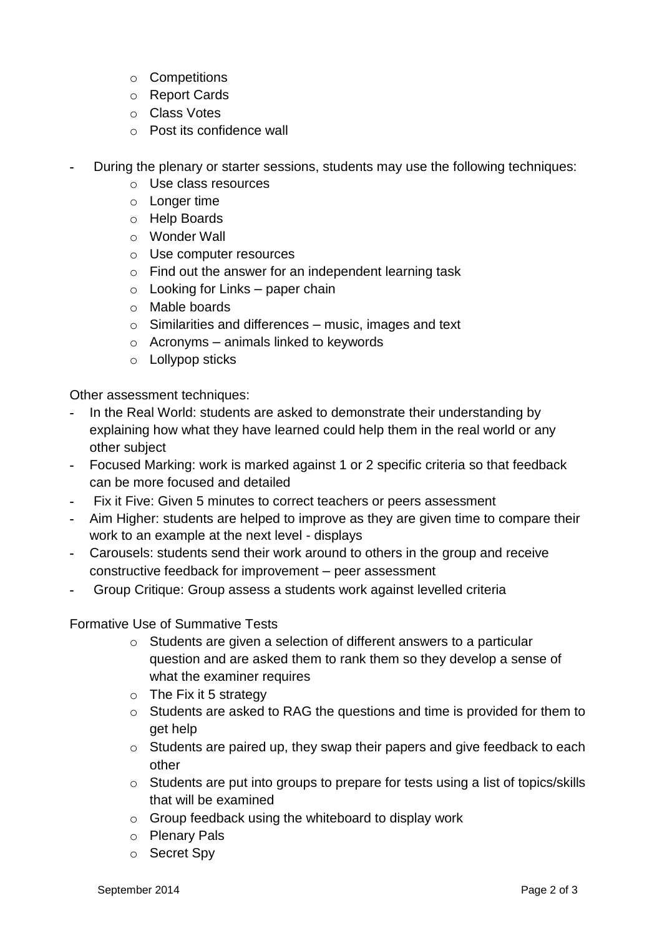- o Competitions
- o Report Cards
- o Class Votes
- o Post its confidence wall
- **-** During the plenary or starter sessions, students may use the following techniques:
	- o Use class resources
	- o Longer time
	- o Help Boards
	- o Wonder Wall
	- o Use computer resources
	- o Find out the answer for an independent learning task
	- $\circ$  Looking for Links paper chain
	- o Mable boards
	- o Similarities and differences music, images and text
	- $\circ$  Acronyms animals linked to keywords
	- o Lollypop sticks

Other assessment techniques:

- **-** In the Real World: students are asked to demonstrate their understanding by explaining how what they have learned could help them in the real world or any other subject
- **-** Focused Marking: work is marked against 1 or 2 specific criteria so that feedback can be more focused and detailed
- **-** Fix it Five: Given 5 minutes to correct teachers or peers assessment
- **-** Aim Higher: students are helped to improve as they are given time to compare their work to an example at the next level - displays
- **-** Carousels: students send their work around to others in the group and receive constructive feedback for improvement – peer assessment
- **-** Group Critique: Group assess a students work against levelled criteria

Formative Use of Summative Tests

- o Students are given a selection of different answers to a particular question and are asked them to rank them so they develop a sense of what the examiner requires
- $\circ$  The Fix it 5 strategy
- o Students are asked to RAG the questions and time is provided for them to get help
- o Students are paired up, they swap their papers and give feedback to each other
- o Students are put into groups to prepare for tests using a list of topics/skills that will be examined
- o Group feedback using the whiteboard to display work
- o Plenary Pals
- o Secret Spy